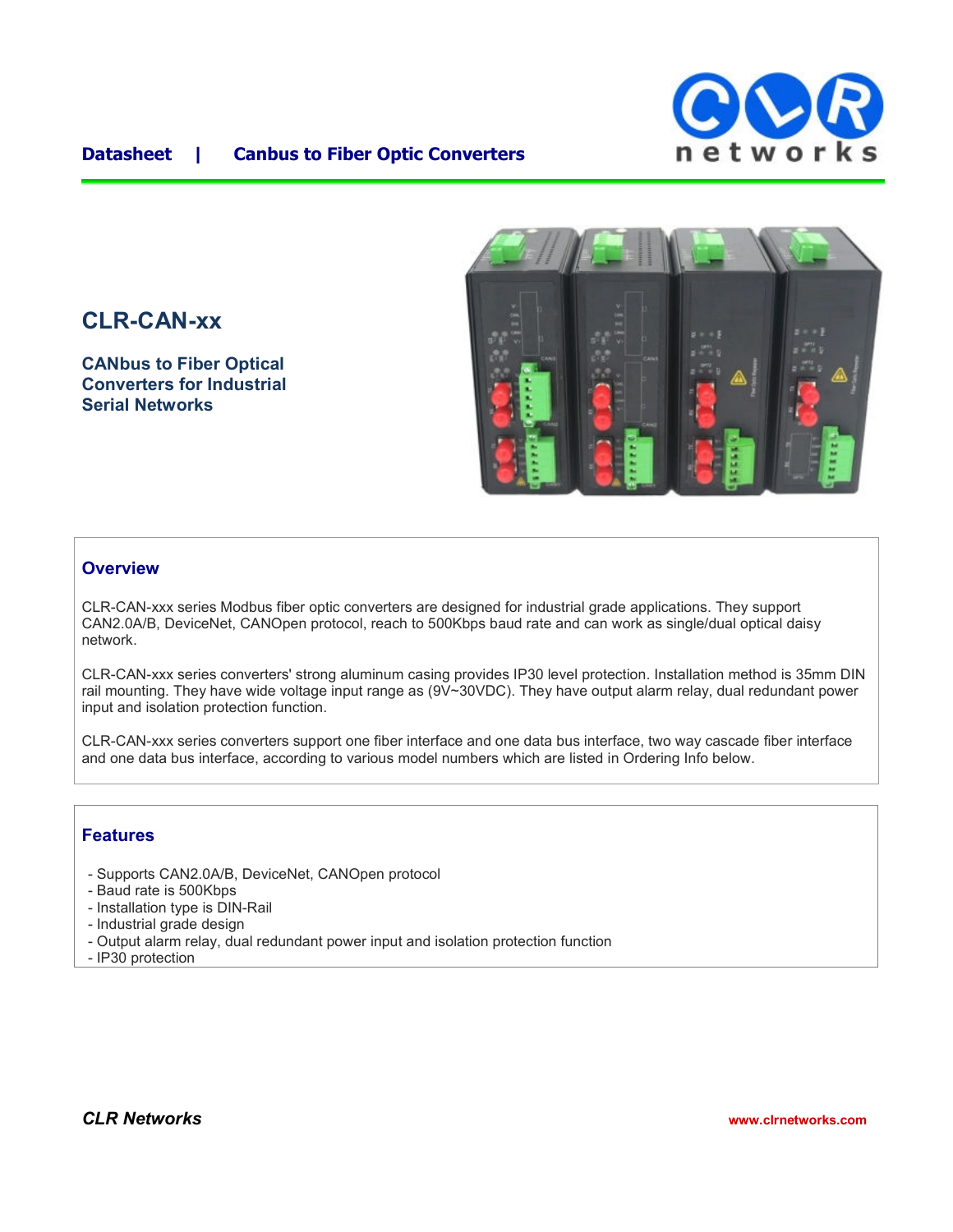

### **Datasheet | Canbus to Fiber Optic Converters**

# **CLR-CAN-xx**

**CANbus to Fiber Optical Converters for Industrial Serial Networks**



#### **Overview**

CLR-CAN-xxx series Modbus fiber optic converters are designed for industrial grade applications. They support CAN2.0A/B, DeviceNet, CANOpen protocol, reach to 500Kbps baud rate and can work as single/dual optical daisy network.

CLR-CAN-xxx series converters' strong aluminum casing provides IP30 level protection. Installation method is 35mm DIN rail mounting. They have wide voltage input range as (9V~30VDC). They have output alarm relay, dual redundant power input and isolation protection function.

CLR-CAN-xxx series converters support one fiber interface and one data bus interface, two way cascade fiber interface and one data bus interface, according to various model numbers which are listed in Ordering Info below.

#### **Features**

- Supports CAN2.0A/B, DeviceNet, CANOpen protocol
- Baud rate is 500Kbps
- Installation type is DIN-Rail
- Industrial grade design
- Output alarm relay, dual redundant power input and isolation protection function
- IP30 protection